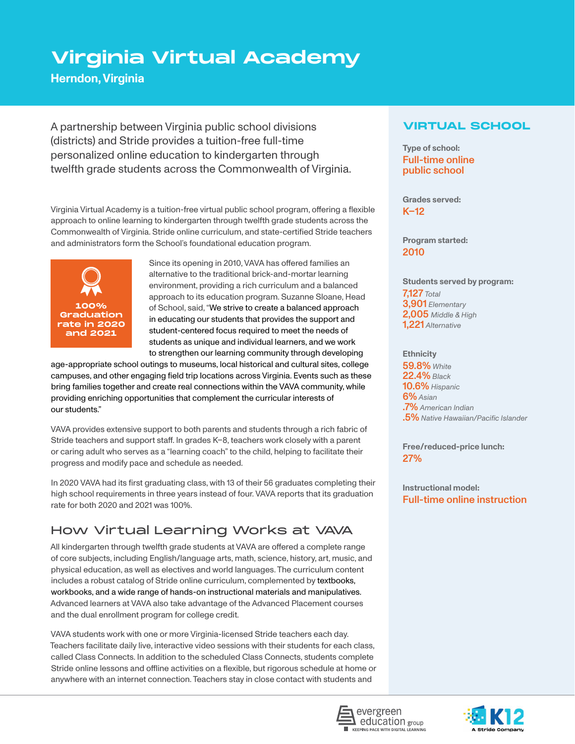# **Virginia Virtual Academy**

**Herndon, Virginia**

A partnership between Virginia public school divisions (districts) and Stride provides a tuition-free full-time personalized online education to kindergarten through twelfth grade students across the Commonwealth of Virginia.

Virginia Virtual Academy is a tuition-free virtual public school program, offering a flexible approach to online learning to kindergarten through twelfth grade students across the Commonwealth of Virginia. Stride online curriculum, and state-certified Stride teachers and administrators form the School's foundational education program.



Since its opening in 2010, VAVA has offered families an alternative to the traditional brick-and-mortar learning environment, providing a rich curriculum and a balanced approach to its education program. Suzanne Sloane, Head of School, said, "We strive to create a balanced approach in educating our students that provides the support and student-centered focus required to meet the needs of students as unique and individual learners, and we work to strengthen our learning community through developing

age-appropriate school outings to museums, local historical and cultural sites, college campuses, and other engaging field trip locations across Virginia. Events such as these bring families together and create real connections within the VAVA community, while providing enriching opportunities that complement the curricular interests of our students."

VAVA provides extensive support to both parents and students through a rich fabric of Stride teachers and support staff. In grades K–8, teachers work closely with a parent or caring adult who serves as a "learning coach" to the child, helping to facilitate their progress and modify pace and schedule as needed.

In 2020 VAVA had its first graduating class, with 13 of their 56 graduates completing their high school requirements in three years instead of four. VAVA reports that its graduation rate for both 2020 and 2021 was 100%.

# How Virtual Learning Works at VAVA

All kindergarten through twelfth grade students at VAVA are offered a complete range of core subjects, including English/language arts, math, science, history, art, music, and physical education, as well as electives and world languages. The curriculum content includes a robust catalog of Stride online curriculum, complemented by textbooks, workbooks, and a wide range of hands-on instructional materials and manipulatives. Advanced learners at VAVA also take advantage of the Advanced Placement courses and the dual enrollment program for college credit.

VAVA students work with one or more Virginia-licensed Stride teachers each day. Teachers facilitate daily live, interactive video sessions with their students for each class, called Class Connects. In addition to the scheduled Class Connects, students complete Stride online lessons and offline activities on a flexible, but rigorous schedule at home or anywhere with an internet connection. Teachers stay in close contact with students and

### **VIRTUAL SCHOOL**

**Type of school:**  Full-time online public school

**Grades served:**  $K-12$ 

**Program started:** 2010

**Students served by program:** 7,127 *Total* 3,901 *Elementary* 2,005 *Middle & High* 1,221 *Alternative*

#### **Ethnicity**

59.8% *White* 22.4% *Black* 10.6% *Hispanic* 6% *Asian* .7% *American Indian* .5% *Native Hawaiian/Pacific Islander*

**Free/reduced-price lunch:** 27%

**Instructional model:** Full-time online instruction



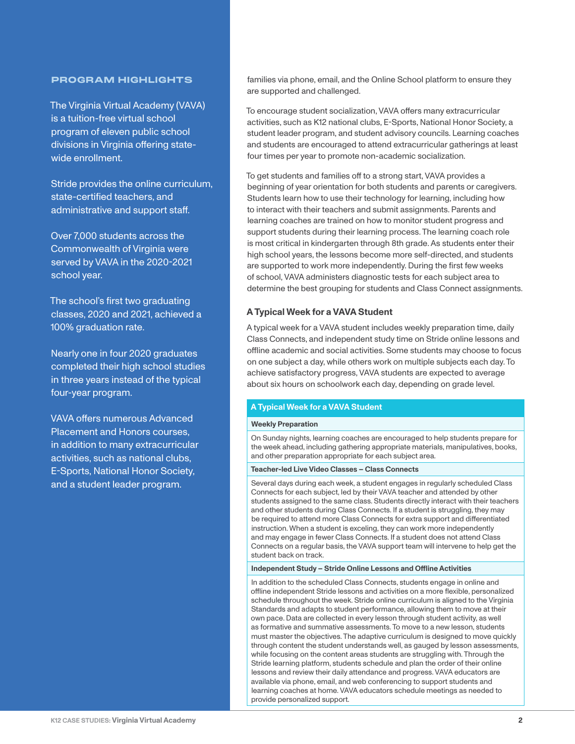#### **PROGRAM HIGHLIGHTS**

The Virginia Virtual Academy (VAVA) is a tuition-free virtual school program of eleven public school divisions in Virginia offering statewide enrollment.

Stride provides the online curriculum, state-certified teachers, and administrative and support staff.

Over 7,000 students across the Commonwealth of Virginia were served by VAVA in the 2020-2021 school year.

The school's first two graduating classes, 2020 and 2021, achieved a 100% graduation rate.

Nearly one in four 2020 graduates completed their high school studies in three years instead of the typical four-year program.

VAVA offers numerous Advanced Placement and Honors courses, in addition to many extracurricular activities, such as national clubs, E-Sports, National Honor Society, and a student leader program.

families via phone, email, and the Online School platform to ensure they are supported and challenged.

To encourage student socialization, VAVA offers many extracurricular activities, such as K12 national clubs, E-Sports, National Honor Society, a student leader program, and student advisory councils. Learning coaches and students are encouraged to attend extracurricular gatherings at least four times per year to promote non-academic socialization.

To get students and families off to a strong start, VAVA provides a beginning of year orientation for both students and parents or caregivers. Students learn how to use their technology for learning, including how to interact with their teachers and submit assignments. Parents and learning coaches are trained on how to monitor student progress and support students during their learning process. The learning coach role is most critical in kindergarten through 8th grade. As students enter their high school years, the lessons become more self-directed, and students are supported to work more independently. During the first few weeks of school, VAVA administers diagnostic tests for each subject area to determine the best grouping for students and Class Connect assignments.

#### **A Typical Week for a VAVA Student**

A typical week for a VAVA student includes weekly preparation time, daily Class Connects, and independent study time on Stride online lessons and offline academic and social activities. Some students may choose to focus on one subject a day, while others work on multiple subjects each day. To achieve satisfactory progress, VAVA students are expected to average about six hours on schoolwork each day, depending on grade level.

#### **A Typical Week for a VAVA Student**

#### **Weekly Preparation**

On Sunday nights, learning coaches are encouraged to help students prepare for the week ahead, including gathering appropriate materials, manipulatives, books, and other preparation appropriate for each subject area.

#### **Teacher-led Live Video Classes – Class Connects**

Several days during each week, a student engages in regularly scheduled Class Connects for each subject, led by their VAVA teacher and attended by other students assigned to the same class. Students directly interact with their teachers and other students during Class Connects. If a student is struggling, they may be required to attend more Class Connects for extra support and differentiated instruction. When a student is exceling, they can work more independently and may engage in fewer Class Connects. If a student does not attend Class Connects on a regular basis, the VAVA support team will intervene to help get the student back on track.

#### **Independent Study – Stride Online Lessons and Offline Activities**

In addition to the scheduled Class Connects, students engage in online and offline independent Stride lessons and activities on a more flexible, personalized schedule throughout the week. Stride online curriculum is aligned to the Virginia Standards and adapts to student performance, allowing them to move at their own pace. Data are collected in every lesson through student activity, as well as formative and summative assessments. To move to a new lesson, students must master the objectives. The adaptive curriculum is designed to move quickly through content the student understands well, as gauged by lesson assessments, while focusing on the content areas students are struggling with. Through the Stride learning platform, students schedule and plan the order of their online lessons and review their daily attendance and progress. VAVA educators are available via phone, email, and web conferencing to support students and learning coaches at home. VAVA educators schedule meetings as needed to provide personalized support.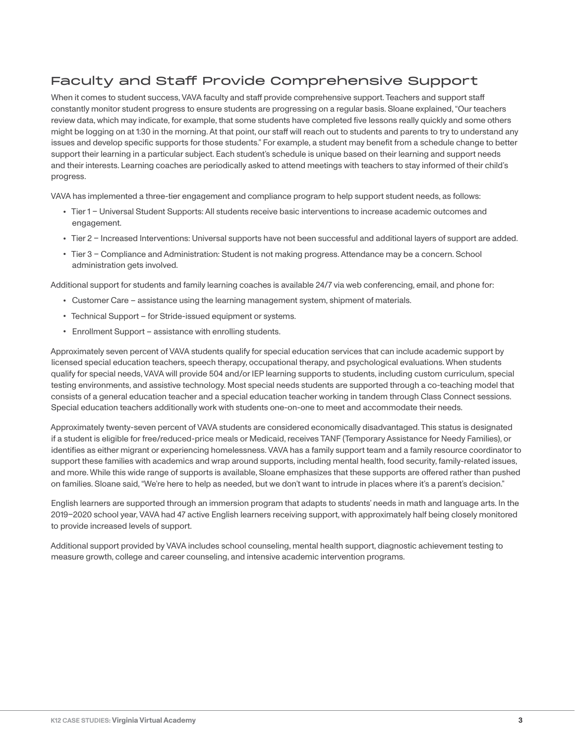## Faculty and Staff Provide Comprehensive Support

When it comes to student success, VAVA faculty and staff provide comprehensive support. Teachers and support staff constantly monitor student progress to ensure students are progressing on a regular basis. Sloane explained, "Our teachers review data, which may indicate, for example, that some students have completed five lessons really quickly and some others might be logging on at 1:30 in the morning. At that point, our staff will reach out to students and parents to try to understand any issues and develop specific supports for those students." For example, a student may benefit from a schedule change to better support their learning in a particular subject. Each student's schedule is unique based on their learning and support needs and their interests. Learning coaches are periodically asked to attend meetings with teachers to stay informed of their child's progress.

VAVA has implemented a three-tier engagement and compliance program to help support student needs, as follows:

- **•** Tier 1 Universal Student Supports: All students receive basic interventions to increase academic outcomes and engagement.
- **•** Tier 2 Increased Interventions: Universal supports have not been successful and additional layers of support are added.
- **•** Tier 3 Compliance and Administration: Student is not making progress. Attendance may be a concern. School administration gets involved.

Additional support for students and family learning coaches is available 24/7 via web conferencing, email, and phone for:

- **•** Customer Care assistance using the learning management system, shipment of materials.
- **•** Technical Support for Stride-issued equipment or systems.
- **•** Enrollment Support assistance with enrolling students.

Approximately seven percent of VAVA students qualify for special education services that can include academic support by licensed special education teachers, speech therapy, occupational therapy, and psychological evaluations. When students qualify for special needs, VAVA will provide 504 and/or IEP learning supports to students, including custom curriculum, special testing environments, and assistive technology. Most special needs students are supported through a co-teaching model that consists of a general education teacher and a special education teacher working in tandem through Class Connect sessions. Special education teachers additionally work with students one-on-one to meet and accommodate their needs.

Approximately twenty-seven percent of VAVA students are considered economically disadvantaged. This status is designated if a student is eligible for free/reduced-price meals or Medicaid, receives TANF (Temporary Assistance for Needy Families), or identifies as either migrant or experiencing homelessness. VAVA has a family support team and a family resource coordinator to support these families with academics and wrap around supports, including mental health, food security, family-related issues, and more. While this wide range of supports is available, Sloane emphasizes that these supports are offered rather than pushed on families. Sloane said, "We're here to help as needed, but we don't want to intrude in places where it's a parent's decision."

English learners are supported through an immersion program that adapts to students' needs in math and language arts. In the 2019–2020 school year, VAVA had 47 active English learners receiving support, with approximately half being closely monitored to provide increased levels of support.

Additional support provided by VAVA includes school counseling, mental health support, diagnostic achievement testing to measure growth, college and career counseling, and intensive academic intervention programs.